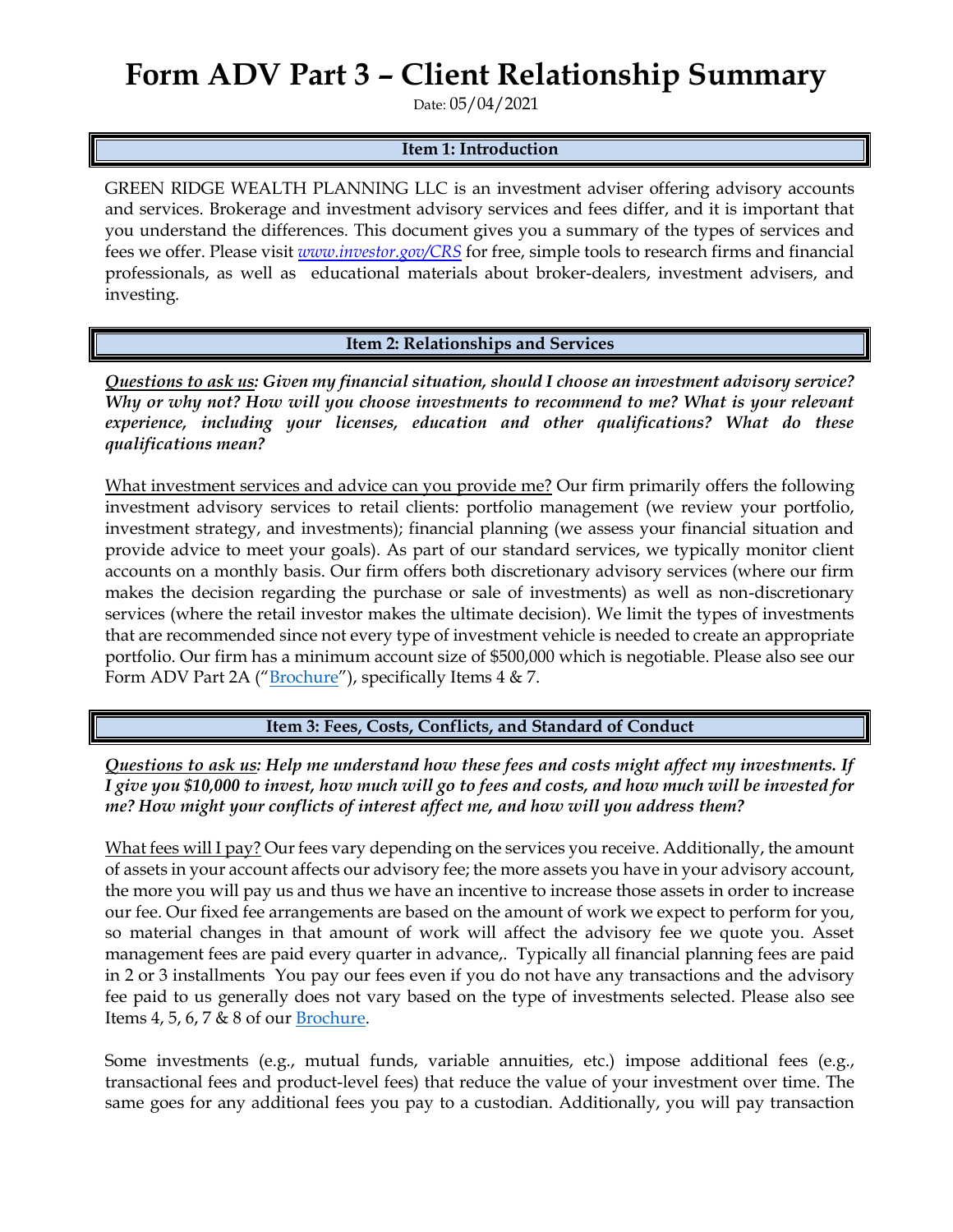## **Form ADV Part 3 – Client Relationship Summary**

Date: 05/04/2021

## **Item 1: Introduction**

GREEN RIDGE WEALTH PLANNING LLC is an investment adviser offering advisory accounts and services. Brokerage and investment advisory services and fees differ, and it is important that you understand the differences. This document gives you a summary of the types of services and fees we offer. Please visit *[www.investor.gov/CRS](http://www.investor.gov/CRS)* for free, simple tools to research firms and financial professionals, as well as educational materials about broker-dealers, investment advisers, and investing.

**Item 2: Relationships and Services**

*Questions to ask us: Given my financial situation, should I choose an investment advisory service? Why or why not? How will you choose investments to recommend to me? What is your relevant experience, including your licenses, education and other qualifications? What do these qualifications mean?*

What investment services and advice can you provide me? Our firm primarily offers the following investment advisory services to retail clients: portfolio management (we review your portfolio, investment strategy, and investments); financial planning (we assess your financial situation and provide advice to meet your goals). As part of our standard services, we typically monitor client accounts on a monthly basis. Our firm offers both discretionary advisory services (where our firm makes the decision regarding the purchase or sale of investments) as well as non-discretionary services (where the retail investor makes the ultimate decision). We limit the types of investments that are recommended since not every type of investment vehicle is needed to create an appropriate portfolio. Our firm has a minimum account size of \$500,000 which is negotiable. Please also see our Form ADV Part 2A ("[Brochure](https://adviserinfo.sec.gov/firm/summary/304236)"), specifically Items 4 & 7.

**Item 3: Fees, Costs, Conflicts, and Standard of Conduct** 

*Questions to ask us: Help me understand how these fees and costs might affect my investments. If I give you \$10,000 to invest, how much will go to fees and costs, and how much will be invested for me? How might your conflicts of interest affect me, and how will you address them?* 

What fees will I pay? Our fees vary depending on the services you receive. Additionally, the amount of assets in your account affects our advisory fee; the more assets you have in your advisory account, the more you will pay us and thus we have an incentive to increase those assets in order to increase our fee. Our fixed fee arrangements are based on the amount of work we expect to perform for you, so material changes in that amount of work will affect the advisory fee we quote you. Asset management fees are paid every quarter in advance,. Typically all financial planning fees are paid in 2 or 3 installments You pay our fees even if you do not have any transactions and the advisory fee paid to us generally does not vary based on the type of investments selected. Please also see Items 4, 5, 6, 7 & 8 of our **Brochure**.

Some investments (e.g., mutual funds, variable annuities, etc.) impose additional fees (e.g., transactional fees and product-level fees) that reduce the value of your investment over time. The same goes for any additional fees you pay to a custodian. Additionally, you will pay transaction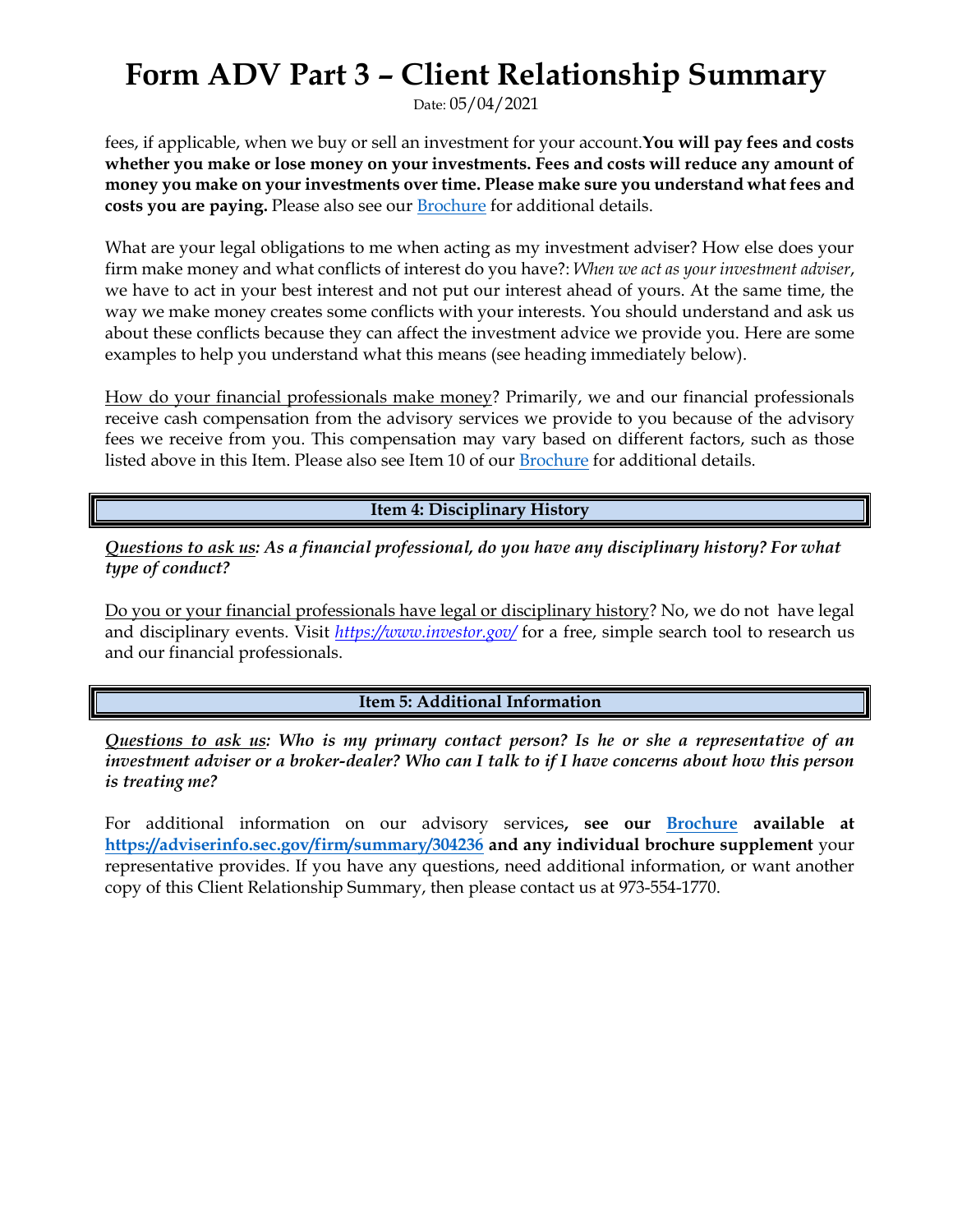## **Form ADV Part 3 – Client Relationship Summary**

Date: 05/04/2021

fees, if applicable, when we buy or sell an investment for your account.**You will pay fees and costs whether you make or lose money on your investments. Fees and costs will reduce any amount of money you make on your investments over time. Please make sure you understand what fees and costs you are paying.** Please also see our [Brochure](https://adviserinfo.sec.gov/firm/summary/304236) for additional details.

What are your legal obligations to me when acting as my investment adviser? How else does your firm make money and what conflicts of interest do you have?: *When we act as your investment adviser*, we have to act in your best interest and not put our interest ahead of yours. At the same time, the way we make money creates some conflicts with your interests. You should understand and ask us about these conflicts because they can affect the investment advice we provide you. Here are some examples to help you understand what this means (see heading immediately below).

How do your financial professionals make money? Primarily, we and our financial professionals receive cash compensation from the advisory services we provide to you because of the advisory fees we receive from you. This compensation may vary based on different factors, such as those listed above in this Item. Please also see Item 10 of our **[Brochure](https://adviserinfo.sec.gov/firm/summary/304236)** for additional details.

**Item 4: Disciplinary History**

*Questions to ask us: As a financial professional, do you have any disciplinary history? For what type of conduct?*

Do you or your financial professionals have legal or disciplinary history? No, we do not have legal and disciplinary events. Visit *<https://www.investor.gov/>* for a free, simple search tool to research us and our financial professionals.

**Item 5: Additional Information**

*Questions to ask us: Who is my primary contact person? Is he or she a representative of an investment adviser or a broker-dealer? Who can I talk to if I have concerns about how this person is treating me?*

For additional information on our advisory services**, see our [Brochure](https://adviserinfo.sec.gov/firm/summary/304236) available at <https://adviserinfo.sec.gov/firm/summary/304236> and any individual brochure supplement** your representative provides. If you have any questions, need additional information, or want another copy of this Client Relationship Summary, then please contact us at 973-554-1770.